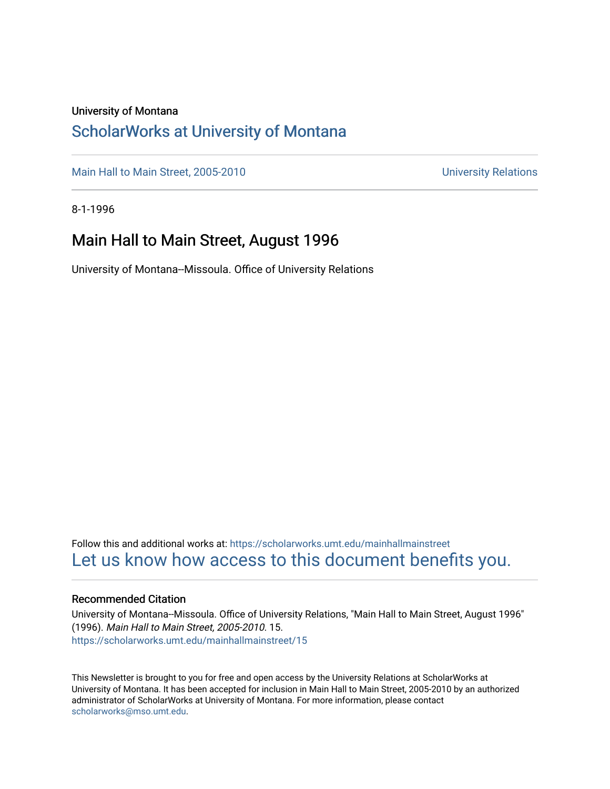### University of Montana

### [ScholarWorks at University of Montana](https://scholarworks.umt.edu/)

[Main Hall to Main Street, 2005-2010](https://scholarworks.umt.edu/mainhallmainstreet) Main Hall to Main Street, 2005-2010

8-1-1996

### Main Hall to Main Street, August 1996

University of Montana--Missoula. Office of University Relations

Follow this and additional works at: [https://scholarworks.umt.edu/mainhallmainstreet](https://scholarworks.umt.edu/mainhallmainstreet?utm_source=scholarworks.umt.edu%2Fmainhallmainstreet%2F15&utm_medium=PDF&utm_campaign=PDFCoverPages) [Let us know how access to this document benefits you.](https://goo.gl/forms/s2rGfXOLzz71qgsB2) 

#### Recommended Citation

University of Montana--Missoula. Office of University Relations, "Main Hall to Main Street, August 1996" (1996). Main Hall to Main Street, 2005-2010. 15. [https://scholarworks.umt.edu/mainhallmainstreet/15](https://scholarworks.umt.edu/mainhallmainstreet/15?utm_source=scholarworks.umt.edu%2Fmainhallmainstreet%2F15&utm_medium=PDF&utm_campaign=PDFCoverPages) 

This Newsletter is brought to you for free and open access by the University Relations at ScholarWorks at University of Montana. It has been accepted for inclusion in Main Hall to Main Street, 2005-2010 by an authorized administrator of ScholarWorks at University of Montana. For more information, please contact [scholarworks@mso.umt.edu.](mailto:scholarworks@mso.umt.edu)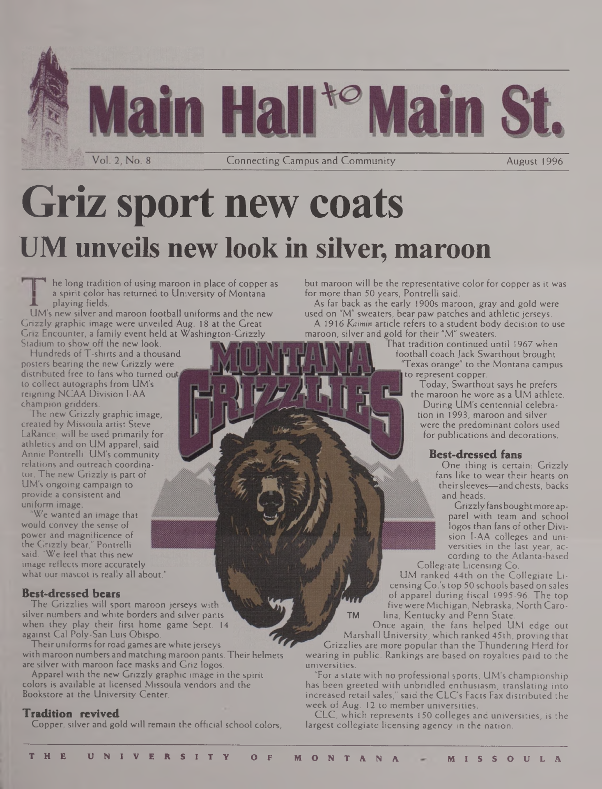

# **Griz sport new coats UM unveils new look in silver, maroon**

he long tradition of using maroon in place of copper as a spirit color has returned to University of Montana **A** playing fields.

UM's new silver and maroon football uniforms and the new Grizzly graphic image were unveiled Aug. 18 at the Great Griz Encounter, a family event held at Washington-Grizzly Stadium to show off the new look.

Hundreds of T-shirts and a thousand posters bearing the new Grizzly were distributed free to fans who turned out, to collect autographs from UM's reigning NCAA Division I-AA champion gridders.

The new Grizzly graphic image, created by Missoula artist Steve LaRance, will be used primarily for athletics and on UM apparel, said Annie Pontrelli, UM's community relations and outreach coordinator. The new Grizzly is part of UM's ongoing campaign to provide a consistent and uniform image.

We wanted an image that would convey the sense of power and magnificence of the Grizzly bear," Pontrelli said. "We feel that this new image reflects more accurately what our mascot is really all about."

### **Best-dressed bears**

The Grizzlies will sport maroon jerseys with silver numbers and white borders and silver pants when they play their first home game Sept. 14 against Cal Poly-San Luis Obispo.

Their uniforms for road games are white jerseys with maroon numbers and matching maroon pants. Their helmets are silver with maroon face masks and Griz logos.

Apparel with the new Grizzly graphic image in the spirit colors is available at licensed Missoula vendors and the Bookstore at the University Center.

#### **Tradition revived**

Copper, silver and gold will remain the official school colors,

but maroon will be the representative color for copper as it was for more than 50 years, Pontrelli said.

As far back as the early 1900s maroon, gray and gold were used on "M" sweaters, bear paw patches and athletic jerseys. A 1916 Kaimin article refers to a student body decision to use maroon, silver and gold for their "M" sweaters.

That tradition continued until 1967 when football coach Jack Swarthout brought 'Texas orange" to the Montana campus to represent copper.

Today, Swarthout says he prefers the maroon he wore as a UM athlete. During UM's centennial celebration in 1993, maroon and silver were the predominant colors used for publications and decorations.

### **Best-dressed fans**

One thing is certain: Grizzly fans like to wear their hearts on theirsleeves—and chests, backs and heads.

Grizzly fans boughtmore apparel with team and school logos than fans of other Division I-AA colleges and universities in the last year, according to the Atlanta-based Collegiate Licensing Co.

UM ranked 44th on the Collegiate Licensing Co.'s top 50 schools based on sales of apparel during fiscal 1995-96. The top five were Michigan, Nebraska, North Caro-TM lina, Kentucky and Penn State.

Once again, the fans helped UM edge out Marshall University, which ranked 45th, proving that

Grizzlies are more popular than the Thundering Herd for wearing in public. Rankings are based on royalties paid to the universities.

"For a state with no professional sports, UM's championship has been greeted with unbridled enthusiasm, translating into increased retail sales," said the CLC's Facts Fax distributed the week of Aug. 12 to member universities.

CLC, which represents 150 colleges and universities, is the largest collegiate licensing agency in the nation.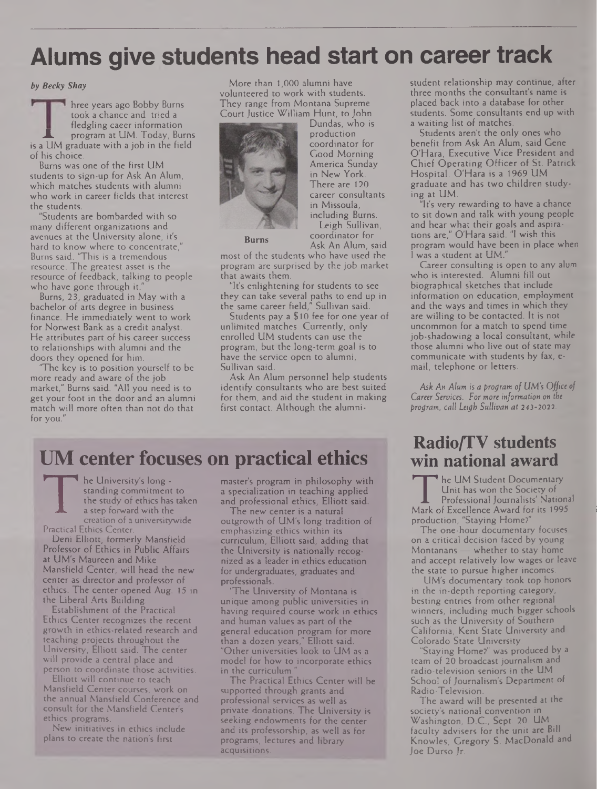# **Alums give students head start on career track**

#### *by Becky Shay*

hree years ago Bobby Burns took a chance and tried a fledgling caeer information program at UM. Today, Burns is a UM graduate with a job in the field of his choice.

Burns was one of the first UM students to sign-up for Ask An Alum, which matches students with alumni who work in career fields that interest the students.

"Students are bombarded with so many different organizations and avenues at the University alone, it's hard to know where to concentrate," Burns said. "This is a tremendous resource. The greatest asset is the resource of feedback, talking to people who have gone through it."

Burns, 23, graduated in May with a bachelor of arts degree in business finance. He immediately went to work for Norwest Bank as a credit analyst. He attributes part of his career success to relationships with alumni and the doors they opened for him.

'The key is to position yourself to be more ready and aware of the job market," Burns said. "All you need is to get your foot in the door and an alumni match will more often than not do that for you."

More than 1,000 alumni have volunteered to work with students. They range from Montana Supreme Court Justice William Hunt, to John



Dundas, who is production coordinator for Good Morning America Sunday in New York. There are 120 career consultants in Missoula, including Burns. Leigh Sullivan, coordinator for Ask An Alum, said **Bums**

most of the students who have used the program are surprised by the job market that awaits them.

"It's enlightening for students to see they can take several paths to end up in the same career field," Sullivan said.

Students pay a \$ 10 fee for one year of unlimited matches. Currently, only enrolled UM students can use the program, but the long-term goal is to have the service open to alumni, Sullivan said.

Ask An Alum personnel help students identify consultants who are best suited for them, and aid the student in making first contact. Although the alumni-

# **UM center focuses on practical ethics**

he University's long standing commitment to the study of ethics has taken a step forward with the creation of a universitywide Practical Ethics Center.

Deni Elliott, formerly Mansfield Professor of Ethics in Public Affairs at UM's Maureen and Mike Mansfield Center, will head the new center as director and professor of ethics. The center opened Aug. 15 in the Liberal Arts Building.

Establishment of the Practical Ethics Center recognizes the recent growth in ethics-related research and teaching projects throughout the University, Elliott said. The center will provide a central place and person to coordinate those activities.

Elliott will continue to teach Mansfield Center courses, work on the annual Mansfield Conference and consult for the Mansfield Center's ethics programs.

New initiatives in ethics include plans to create the nation's first

master's program in philosophy with a specialization in teaching applied and professional ethics, Elliott said.

The new center is a natural outgrowth of UM's long tradition of emphasizing ethics within its curriculum, Elliott said, adding that the University is nationally recognized as a leader in ethics education for undergraduates, graduates and professionals.

"The University of Montana is unique among public universities in having required course work in ethics and human values as part of the general education program for more than a dozen years," Elliott said. "Other universities look to UM as a model for how to incorporate ethics in the curriculum.

The Practical Ethics Center will be supported through grants and professional services as well as private donations. The University is seeking endowments for the center and its professorship, as well as for programs, lectures and library acquisitions.

student relationship may continue, after three months the consultant's name is placed back into a database for other students. Some consultants end up with a waiting list of matches.

Students aren't the only ones who benefit from Ask An Alum, said Gene O'Hara, Executive Vice President and Chief Operating Officer of St. Patrick Hospital. O'Hara is a 1969 UM graduate and has two children studying at UM.

"It's very rewarding to have a chance to sit down and talk with young people and hear what their goals and aspirations are," O'Hara said. "I wish this program would have been in place when <sup>I</sup> was a student at UM."

Career consulting is open to any alum who is interested. Alumni fill out biographical sketches that include information on education, employment and the ways and times in which they are willing to be contacted. It is not uncommon for a match to spend time job-shadowing a local consultant, while those alumni who live out of state may communicate with students by fax, email, telephone or letters.

*Ask An Alum is a program of UM's Office of Career Services. For more information on the program, call Leigh Sullivan at 243-2022.*

### **Radio/TV students win national award**

The UM Student Docum<br>
Unit has won the Soci<br>
Professional Journalist<br>
Mark of Excellence Award fo<br>
production, "Staying Home?" he UM Student Documentary Unit has won the Society of Professional Journalists' National Mark of Excellence Award for its 1995

The one-hour documentary focuses on a critical decision faced by young Montanans — whether to stay home and accept relatively low wages or leave the state to pursue higher incomes.

UM's documentary took top honors in the in-depth reporting category, besting entries from other regional winners, including much bigger schools such as the University of Southern California, Kent State University and Colorado State University.

Staying Home?" was produced by a team of 20 broadcast journalism and radio-television seniors in the UM School of Journalism's Department of Radio-Television.

The award will be presented at the society's national convention in Washington, D.C., Sept. 20. UM faculty advisers for the unit are Bill Knowles, Gregory S. MacDonald and Joe Durso Jr.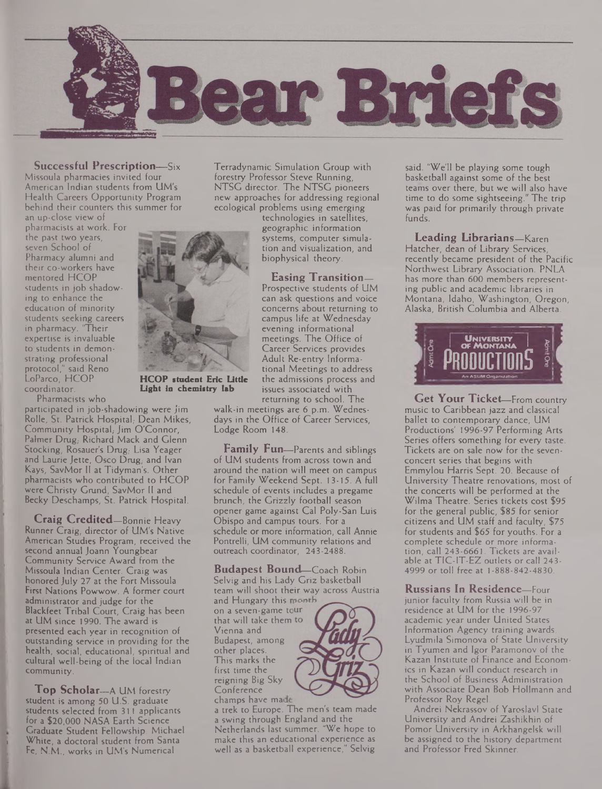

**Successful Prescription—**Six Missoula pharmacies invited four American Indian students from UM's Health Careers Opportunity Program behind their counters this summer for

an up-close view of pharmacists at work. For the past two years, seven School of Pharmacy alumni and their co-workers have mentored HCOP students in job shadowing to enhance the education of minority students seeking careers in pharmacy. "Their expertise is invaluable to students in demonstrating professional protocol," said Reno LoParco, HCOP coordinator.

Pharmacists who

participated in job-shadowing were Jim Rolle, St. Patrick Hospital, Dean Mikes, Community Hospital; Jim O'Connor, Palmer Drug, Richard Mack and Glenn Stocking, Rosauer's Drug, Lisa Yeager and Laurie Jette, Osco  $D \nparallel_{\mathcal{B}}$  and Ivan Kays, SavMor II at Tidyman's. Other pharmacists who contributed to HCOP were Christy Grund, SavMor II and Becky Deschamps, St. Patrick Hospital.

**Craig Credited—**Bonnie Heavy Runner Craig, director of UM's Native American Studies Program, received the second annual Joann Youngbear Community Service Award from the Missoula Indian Center. Craig was honored July 27 at the Fort Missoula First Nations Powwow. A former court administrator and judge for the Blackfeet Tribal Court, Craig has been at UM since 1990. The award is presented each year in recognition of outstanding service in providing for the health, social, educational, spiritual and cultural well-being of the local Indian community.

**Top Scholar—**A UM forestry student is among 50 U.S. graduate students selected from 311 applicants for a \$20,000 NASA Earth Science Graduate Student Fellowship. Michael White, a doctoral student from Santa Fe, N.M., works in UM's Numerical

Terradynamic Simulation Group with forestry Professor Steve Running, NTSC director. The NTSG pioneers new approaches for addressing regional ecological problems using emerging

> technologies in satellites, geographic information systems, computer simulation and visualization, and biophysical theory.

**Easing Transition—** Prospective students of UM can ask questions and voice concerns about returning to campus life at Wednesday evening informational meetings. The Office of Career Services provides Adult Re-entry Informational Meetings to address the admissions process and issues associated with

returning to school. The walk-in meetings are 6 p.m. Wednesdays in the Office of Career Services, Lodge Room 148.

**Family Fun—**Parents and siblings of UM students from across town and around the nation will meet on campus for Family Weekend Sept. 13-15. A full schedule of events includes a pregame brunch, the Grizzly football season opener game against Cal Poly-San Luis Obispo and campus tours. For a schedule or more information, call Annie Pontrelli, UM community relations and outreach coordinator, 243-2488.

**Budapest Bound—**Coach Robin Selvig and his Lady Griz basketball team will shoot their way across Austria and Hungary this month

on a seven-game tour that will take them Vienna and Budapest, among other places. This marks the first time the reigning Big Sky **Conference** champs have made



a trek to Europe. The men's team made a swing through England and the Netherlands last summer. "We hope to make this an educational experience as well as a basketball experience," Selvig

said. "We'll be playing some tough basketball against some of the best teams over there, but we will also have time to do some sightseeing." The trip was paid for primarily through private funds.

**Leading Librarians—**Karen Hatcher, dean of Library Services, recently became president of the Pacific Northwest Library Association. PNLA has more than 600 members representing public and academic libraries in Montana, Idaho, Washington, Oregon, Alaska, British Columbia and Alberta.



**Get Your Ticket—**From country music to Caribbean jazz and classical ballet to contemporary dance, UM Productions' 1996-97 Performing Arts Series offers something for every taste. Tickets are on sale now for the sevenconcert series that begins with Emmylou Harris Sept. 20. Because of University Theatre renovations, most of the concerts will be performed at the Wilma Theatre. Series tickets cost \$95 for the general public, \$85 for senior citizens and UM staff and faculty, \$75 for students and \$65 for youths. For a complete schedule or more information, call 243-6661. Tickets are available at TIC-IT-EZ outlets or call 243- 4999 or toll free at 1-888-842-4830.

**Russians In Residence—**Four junior faculty from Russia will be in residence at UM for the 1996-97 academic year under United States Information Agency training awards. Lyudmila Simonova of State University in Tyumen and Igor Paramonov of the Kazan Institute of Finance and Economics in Kazan will conduct research in the School of Business Administration with Associate Dean Bob Hollmann and Professor Roy Regel.

Andrei Nekrassov of Yaroslavl State University and Andrei Zashikhin of Pomor University in Arkhangelsk will be assigned to the history department and Professor Fred Skinner.



**HCOP student Eric Little Light in chemistry lab**